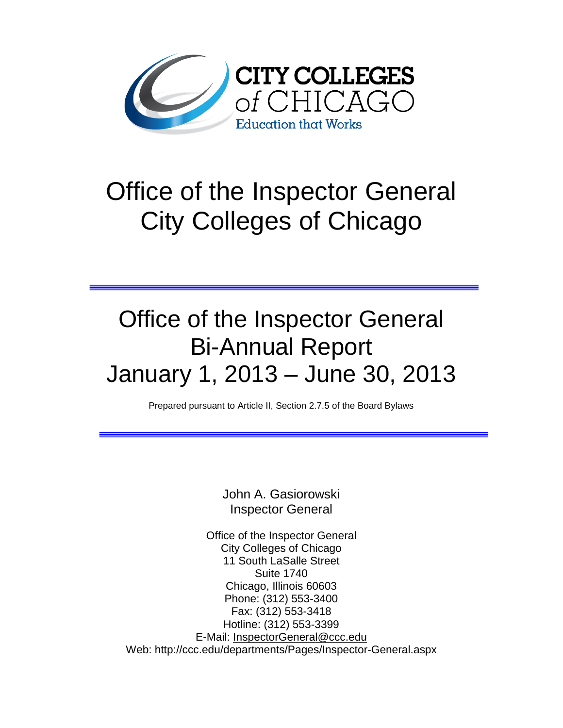

# Office of the Inspector General City Colleges of Chicago

## Office of the Inspector General Bi-Annual Report January 1, 2013 – June 30, 2013

Prepared pursuant to Article II, Section 2.7.5 of the Board Bylaws

John A. Gasiorowski Inspector General

Office of the Inspector General City Colleges of Chicago 11 South LaSalle Street Suite 1740 Chicago, Illinois 60603 Phone: (312) 553-3400 Fax: (312) 553-3418 Hotline: (312) 553-3399 E-Mail: [InspectorGeneral@ccc.edu](mailto:InspectorGeneral@ccc.edu) Web: http://ccc.edu/departments/Pages/Inspector-General.aspx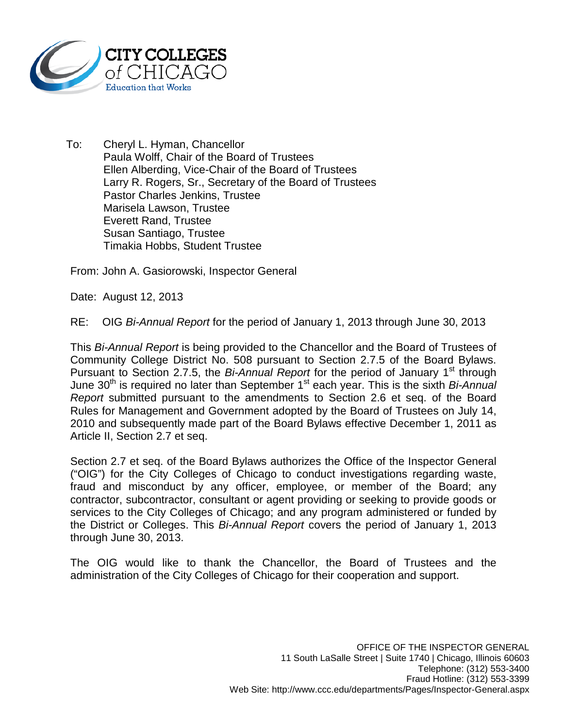

To: Cheryl L. Hyman, Chancellor Paula Wolff, Chair of the Board of Trustees Ellen Alberding, Vice-Chair of the Board of Trustees Larry R. Rogers, Sr., Secretary of the Board of Trustees Pastor Charles Jenkins, Trustee Marisela Lawson, Trustee Everett Rand, Trustee Susan Santiago, Trustee Timakia Hobbs, Student Trustee

From: John A. Gasiorowski, Inspector General

Date: August 12, 2013

RE: OIG *Bi-Annual Report* for the period of January 1, 2013 through June 30, 2013

This *Bi-Annual Report* is being provided to the Chancellor and the Board of Trustees of Community College District No. 508 pursuant to Section 2.7.5 of the Board Bylaws. Pursuant to Section 2.7.5, the *Bi-Annual Report* for the period of January 1<sup>st</sup> through June 30<sup>th</sup> is required no later than September 1<sup>st</sup> each year. This is the sixth *Bi-Annual Report* submitted pursuant to the amendments to Section 2.6 et seq. of the Board Rules for Management and Government adopted by the Board of Trustees on July 14, 2010 and subsequently made part of the Board Bylaws effective December 1, 2011 as Article II, Section 2.7 et seq.

Section 2.7 et seq. of the Board Bylaws authorizes the Office of the Inspector General ("OIG") for the City Colleges of Chicago to conduct investigations regarding waste, fraud and misconduct by any officer, employee, or member of the Board; any contractor, subcontractor, consultant or agent providing or seeking to provide goods or services to the City Colleges of Chicago; and any program administered or funded by the District or Colleges. This *Bi-Annual Report* covers the period of January 1, 2013 through June 30, 2013.

The OIG would like to thank the Chancellor, the Board of Trustees and the administration of the City Colleges of Chicago for their cooperation and support.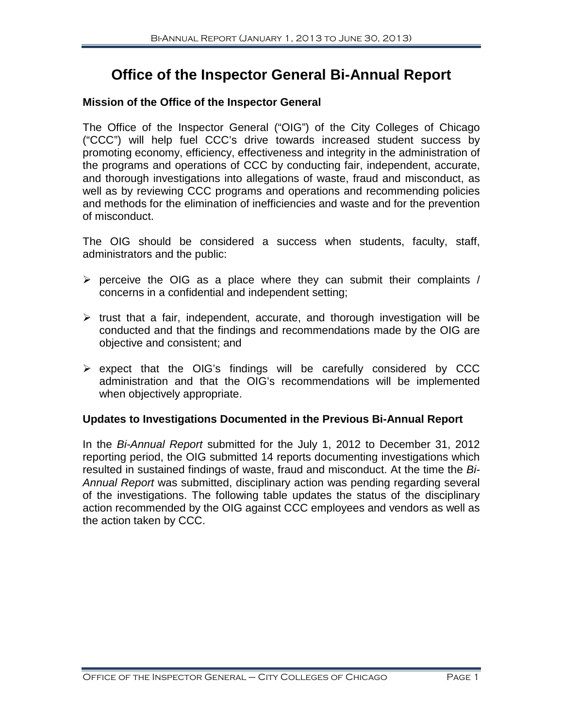### **Office of the Inspector General Bi-Annual Report**

#### **Mission of the Office of the Inspector General**

The Office of the Inspector General ("OIG") of the City Colleges of Chicago ("CCC") will help fuel CCC's drive towards increased student success by promoting economy, efficiency, effectiveness and integrity in the administration of the programs and operations of CCC by conducting fair, independent, accurate, and thorough investigations into allegations of waste, fraud and misconduct, as well as by reviewing CCC programs and operations and recommending policies and methods for the elimination of inefficiencies and waste and for the prevention of misconduct.

The OIG should be considered a success when students, faculty, staff, administrators and the public:

- $\triangleright$  perceive the OIG as a place where they can submit their complaints / concerns in a confidential and independent setting;
- $\triangleright$  trust that a fair, independent, accurate, and thorough investigation will be conducted and that the findings and recommendations made by the OIG are objective and consistent; and
- $\triangleright$  expect that the OIG's findings will be carefully considered by CCC administration and that the OIG's recommendations will be implemented when objectively appropriate.

#### **Updates to Investigations Documented in the Previous Bi-Annual Report**

In the *Bi-Annual Report* submitted for the July 1, 2012 to December 31, 2012 reporting period, the OIG submitted 14 reports documenting investigations which resulted in sustained findings of waste, fraud and misconduct. At the time the *Bi-Annual Report* was submitted, disciplinary action was pending regarding several of the investigations. The following table updates the status of the disciplinary action recommended by the OIG against CCC employees and vendors as well as the action taken by CCC.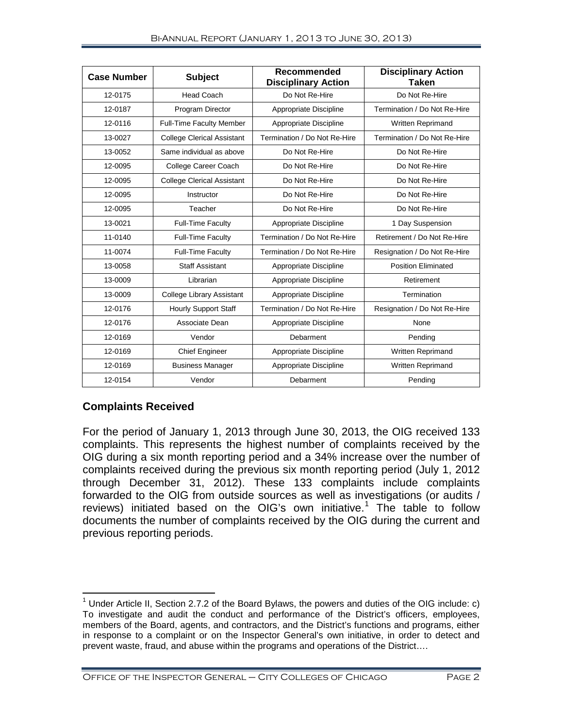| <b>Case Number</b> | <b>Subject</b>                    | Recommended<br><b>Disciplinary Action</b> | <b>Disciplinary Action</b><br><b>Taken</b> |  |
|--------------------|-----------------------------------|-------------------------------------------|--------------------------------------------|--|
| 12-0175            | <b>Head Coach</b>                 | Do Not Re-Hire                            | Do Not Re-Hire                             |  |
| 12-0187            | Program Director                  | Appropriate Discipline                    | Termination / Do Not Re-Hire               |  |
| 12-0116            | <b>Full-Time Faculty Member</b>   | Appropriate Discipline                    | <b>Written Reprimand</b>                   |  |
| 13-0027            | <b>College Clerical Assistant</b> | Termination / Do Not Re-Hire              | Termination / Do Not Re-Hire               |  |
| 13-0052            | Same individual as above          | Do Not Re-Hire                            | Do Not Re-Hire                             |  |
| 12-0095            | College Career Coach              | Do Not Re-Hire                            | Do Not Re-Hire                             |  |
| 12-0095            | <b>College Clerical Assistant</b> | Do Not Re-Hire                            | Do Not Re-Hire                             |  |
| 12-0095            | Instructor                        | Do Not Re-Hire                            | Do Not Re-Hire                             |  |
| 12-0095            | Teacher                           | Do Not Re-Hire                            | Do Not Re-Hire                             |  |
| 13-0021            | <b>Full-Time Faculty</b>          | Appropriate Discipline                    | 1 Day Suspension                           |  |
| 11-0140            | <b>Full-Time Faculty</b>          | Termination / Do Not Re-Hire              | Retirement / Do Not Re-Hire                |  |
| 11-0074            | <b>Full-Time Faculty</b>          | Termination / Do Not Re-Hire              | Resignation / Do Not Re-Hire               |  |
| 13-0058            | <b>Staff Assistant</b>            | Appropriate Discipline                    | <b>Position Eliminated</b>                 |  |
| 13-0009            | Librarian                         | Appropriate Discipline                    | Retirement                                 |  |
| 13-0009            | <b>College Library Assistant</b>  | Appropriate Discipline                    | Termination                                |  |
| 12-0176            | <b>Hourly Support Staff</b>       | Termination / Do Not Re-Hire              | Resignation / Do Not Re-Hire               |  |
| 12-0176            | Associate Dean                    | Appropriate Discipline                    | None                                       |  |
| 12-0169            | Vendor                            | Debarment                                 | Pending                                    |  |
| 12-0169            | <b>Chief Engineer</b>             | Appropriate Discipline                    | Written Reprimand                          |  |
| 12-0169            | <b>Business Manager</b>           | Appropriate Discipline                    | Written Reprimand                          |  |
| 12-0154            | Vendor                            | Debarment                                 | Pending                                    |  |

#### **Complaints Received**

For the period of January 1, 2013 through June 30, 2013, the OIG received 133 complaints. This represents the highest number of complaints received by the OIG during a six month reporting period and a 34% increase over the number of complaints received during the previous six month reporting period (July 1, 2012 through December 31, 2012). These 133 complaints include complaints forwarded to the OIG from outside sources as well as investigations (or audits / reviews) initiated based on the OIG's own initiative.<sup>[1](#page-3-0)</sup> The table to follow documents the number of complaints received by the OIG during the current and previous reporting periods.

<span id="page-3-0"></span><sup>&</sup>lt;sup>1</sup> Under Article II, Section 2.7.2 of the Board Bylaws, the powers and duties of the OIG include: c) To investigate and audit the conduct and performance of the District's officers, employees, members of the Board, agents, and contractors, and the District's functions and programs, either in response to a complaint or on the Inspector General's own initiative, in order to detect and prevent waste, fraud, and abuse within the programs and operations of the District….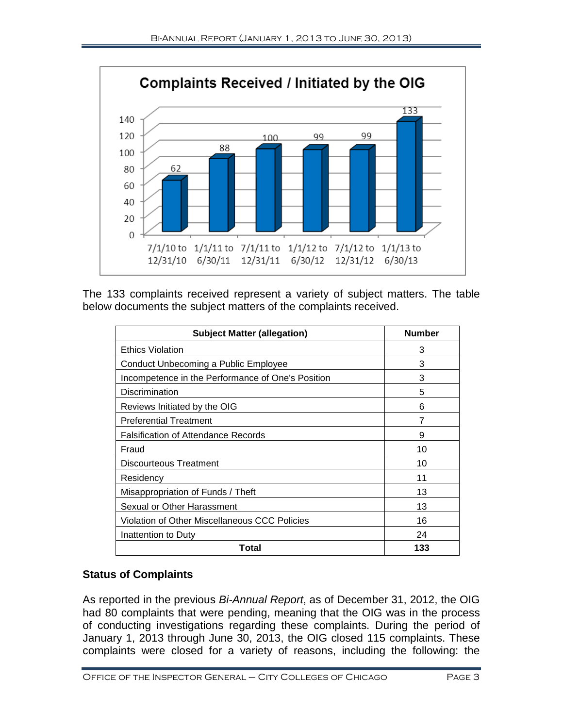

The 133 complaints received represent a variety of subject matters. The table below documents the subject matters of the complaints received.

| <b>Subject Matter (allegation)</b>                   | <b>Number</b> |
|------------------------------------------------------|---------------|
| <b>Ethics Violation</b>                              | 3             |
| Conduct Unbecoming a Public Employee                 | 3             |
| Incompetence in the Performance of One's Position    | 3             |
| Discrimination                                       | 5             |
| Reviews Initiated by the OIG                         | 6             |
| <b>Preferential Treatment</b>                        | 7             |
| <b>Falsification of Attendance Records</b>           | 9             |
| Fraud                                                | 10            |
| <b>Discourteous Treatment</b>                        | 10            |
| Residency                                            | 11            |
| Misappropriation of Funds / Theft                    | 13            |
| Sexual or Other Harassment                           | 13            |
| <b>Violation of Other Miscellaneous CCC Policies</b> | 16            |
| Inattention to Duty                                  | 24            |
| Total                                                | 133           |

#### **Status of Complaints**

As reported in the previous *Bi-Annual Report*, as of December 31, 2012, the OIG had 80 complaints that were pending, meaning that the OIG was in the process of conducting investigations regarding these complaints. During the period of January 1, 2013 through June 30, 2013, the OIG closed 115 complaints. These complaints were closed for a variety of reasons, including the following: the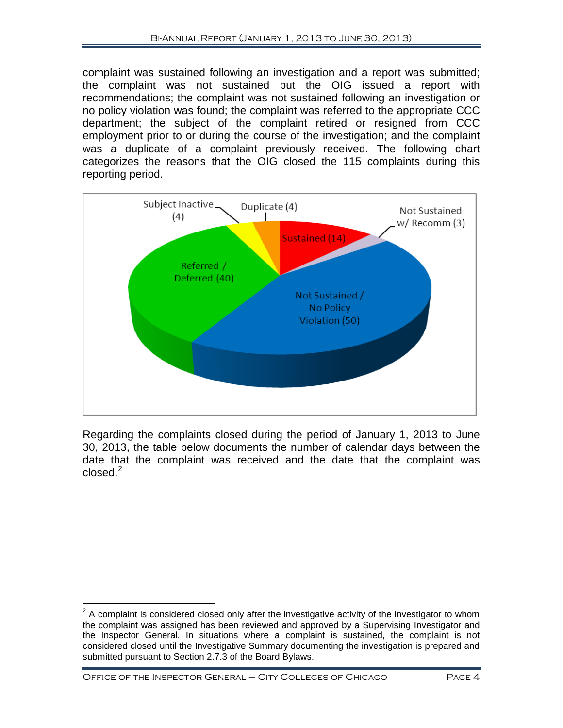complaint was sustained following an investigation and a report was submitted; the complaint was not sustained but the OIG issued a report with recommendations; the complaint was not sustained following an investigation or no policy violation was found; the complaint was referred to the appropriate CCC department; the subject of the complaint retired or resigned from CCC employment prior to or during the course of the investigation; and the complaint was a duplicate of a complaint previously received. The following chart categorizes the reasons that the OIG closed the 115 complaints during this reporting period.



Regarding the complaints closed during the period of January 1, 2013 to June 30, 2013, the table below documents the number of calendar days between the date that the complaint was received and the date that the complaint was  $closed<sup>2</sup>$  $closed<sup>2</sup>$  $closed<sup>2</sup>$ 

<span id="page-5-0"></span> $2$  A complaint is considered closed only after the investigative activity of the investigator to whom the complaint was assigned has been reviewed and approved by a Supervising Investigator and the Inspector General. In situations where a complaint is sustained, the complaint is not considered closed until the Investigative Summary documenting the investigation is prepared and submitted pursuant to Section 2.7.3 of the Board Bylaws.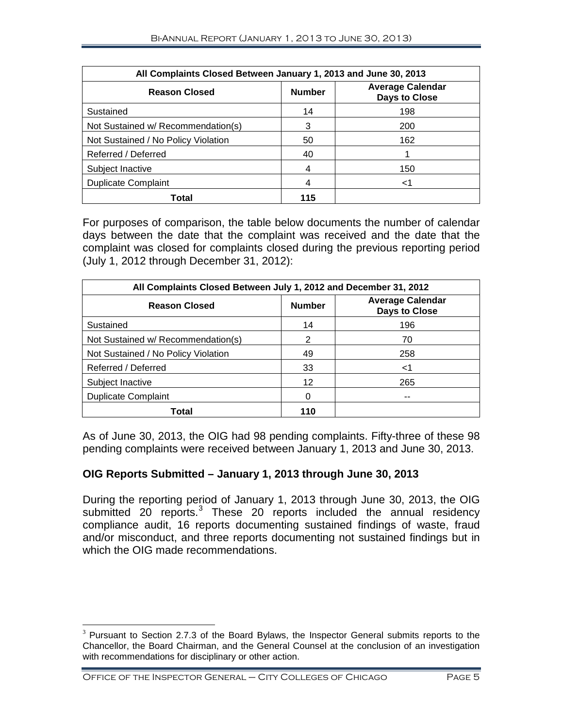| All Complaints Closed Between January 1, 2013 and June 30, 2013 |               |                                                 |  |  |  |
|-----------------------------------------------------------------|---------------|-------------------------------------------------|--|--|--|
| <b>Reason Closed</b>                                            | <b>Number</b> | <b>Average Calendar</b><br><b>Days to Close</b> |  |  |  |
| Sustained                                                       | 14            | 198                                             |  |  |  |
| Not Sustained w/ Recommendation(s)                              | 3             | 200                                             |  |  |  |
| Not Sustained / No Policy Violation                             | 50            | 162                                             |  |  |  |
| Referred / Deferred                                             | 40            |                                                 |  |  |  |
| Subject Inactive                                                | 4             | 150                                             |  |  |  |
| <b>Duplicate Complaint</b>                                      | 4             | <1                                              |  |  |  |
| Total                                                           | 115           |                                                 |  |  |  |

For purposes of comparison, the table below documents the number of calendar days between the date that the complaint was received and the date that the complaint was closed for complaints closed during the previous reporting period (July 1, 2012 through December 31, 2012):

| All Complaints Closed Between July 1, 2012 and December 31, 2012 |               |                                          |  |  |  |
|------------------------------------------------------------------|---------------|------------------------------------------|--|--|--|
| <b>Reason Closed</b>                                             | <b>Number</b> | <b>Average Calendar</b><br>Days to Close |  |  |  |
| Sustained                                                        | 14            | 196                                      |  |  |  |
| Not Sustained w/ Recommendation(s)                               | 2             | 70                                       |  |  |  |
| Not Sustained / No Policy Violation                              | 49            | 258                                      |  |  |  |
| Referred / Deferred                                              | 33            | <1                                       |  |  |  |
| Subject Inactive                                                 | 12            | 265                                      |  |  |  |
| <b>Duplicate Complaint</b>                                       | 0             |                                          |  |  |  |
| Total                                                            | 110           |                                          |  |  |  |

As of June 30, 2013, the OIG had 98 pending complaints. Fifty-three of these 98 pending complaints were received between January 1, 2013 and June 30, 2013.

#### **OIG Reports Submitted – January 1, 2013 through June 30, 2013**

During the reporting period of January 1, 2013 through June 30, 2013, the OIG submitted 20 reports.<sup>[3](#page-6-0)</sup> These 20 reports included the annual residency compliance audit, 16 reports documenting sustained findings of waste, fraud and/or misconduct, and three reports documenting not sustained findings but in which the OIG made recommendations.

<span id="page-6-0"></span> $3$  Pursuant to Section 2.7.3 of the Board Bylaws, the Inspector General submits reports to the Chancellor, the Board Chairman, and the General Counsel at the conclusion of an investigation with recommendations for disciplinary or other action.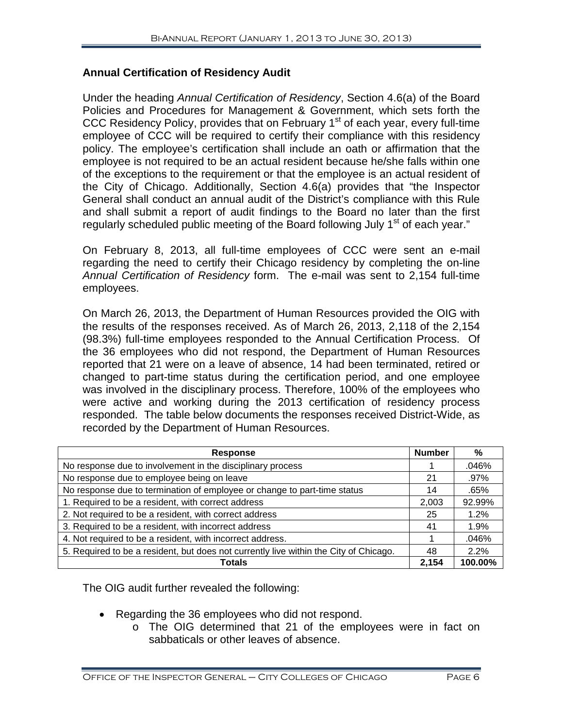#### **Annual Certification of Residency Audit**

Under the heading *Annual Certification of Residency*, Section 4.6(a) of the Board Policies and Procedures for Management & Government, which sets forth the CCC Residency Policy, provides that on February 1<sup>st</sup> of each year, every full-time employee of CCC will be required to certify their compliance with this residency policy. The employee's certification shall include an oath or affirmation that the employee is not required to be an actual resident because he/she falls within one of the exceptions to the requirement or that the employee is an actual resident of the City of Chicago. Additionally, Section 4.6(a) provides that "the Inspector General shall conduct an annual audit of the District's compliance with this Rule and shall submit a report of audit findings to the Board no later than the first regularly scheduled public meeting of the Board following July 1<sup>st</sup> of each year."

On February 8, 2013, all full-time employees of CCC were sent an e-mail regarding the need to certify their Chicago residency by completing the on-line *Annual Certification of Residency* form. The e-mail was sent to 2,154 full-time employees.

On March 26, 2013, the Department of Human Resources provided the OIG with the results of the responses received. As of March 26, 2013, 2,118 of the 2,154 (98.3%) full-time employees responded to the Annual Certification Process. Of the 36 employees who did not respond, the Department of Human Resources reported that 21 were on a leave of absence, 14 had been terminated, retired or changed to part-time status during the certification period, and one employee was involved in the disciplinary process. Therefore, 100% of the employees who were active and working during the 2013 certification of residency process responded. The table below documents the responses received District-Wide, as recorded by the Department of Human Resources.

| <b>Response</b>                                                                       | <b>Number</b> | %       |
|---------------------------------------------------------------------------------------|---------------|---------|
| No response due to involvement in the disciplinary process                            |               | .046%   |
| No response due to employee being on leave                                            | 21            | .97%    |
| No response due to termination of employee or change to part-time status              |               | .65%    |
| 1. Required to be a resident, with correct address                                    | 2,003         | 92.99%  |
| 2. Not required to be a resident, with correct address                                |               | 1.2%    |
| 3. Required to be a resident, with incorrect address                                  | 41            | 1.9%    |
| 4. Not required to be a resident, with incorrect address.                             |               | .046%   |
| 5. Required to be a resident, but does not currently live within the City of Chicago. |               | 2.2%    |
| <b>Totals</b>                                                                         | 2,154         | 100.00% |

The OIG audit further revealed the following:

- Regarding the 36 employees who did not respond.
	- o The OIG determined that 21 of the employees were in fact on sabbaticals or other leaves of absence.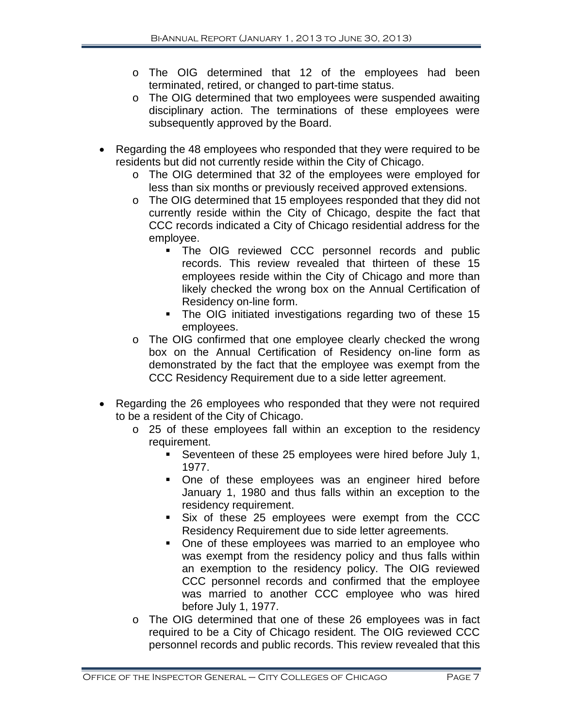- o The OIG determined that 12 of the employees had been terminated, retired, or changed to part-time status.
- o The OIG determined that two employees were suspended awaiting disciplinary action. The terminations of these employees were subsequently approved by the Board.
- Regarding the 48 employees who responded that they were required to be residents but did not currently reside within the City of Chicago.
	- o The OIG determined that 32 of the employees were employed for less than six months or previously received approved extensions.
	- o The OIG determined that 15 employees responded that they did not currently reside within the City of Chicago, despite the fact that CCC records indicated a City of Chicago residential address for the employee.
		- **The OIG reviewed CCC personnel records and public** records. This review revealed that thirteen of these 15 employees reside within the City of Chicago and more than likely checked the wrong box on the Annual Certification of Residency on-line form.
		- The OIG initiated investigations regarding two of these 15 employees.
	- o The OIG confirmed that one employee clearly checked the wrong box on the Annual Certification of Residency on-line form as demonstrated by the fact that the employee was exempt from the CCC Residency Requirement due to a side letter agreement.
- Regarding the 26 employees who responded that they were not required to be a resident of the City of Chicago.
	- o 25 of these employees fall within an exception to the residency requirement.
		- Seventeen of these 25 employees were hired before July 1, 1977.
		- One of these employees was an engineer hired before January 1, 1980 and thus falls within an exception to the residency requirement.
		- Six of these 25 employees were exempt from the CCC Residency Requirement due to side letter agreements.
		- One of these employees was married to an employee who was exempt from the residency policy and thus falls within an exemption to the residency policy. The OIG reviewed CCC personnel records and confirmed that the employee was married to another CCC employee who was hired before July 1, 1977.
	- o The OIG determined that one of these 26 employees was in fact required to be a City of Chicago resident. The OIG reviewed CCC personnel records and public records. This review revealed that this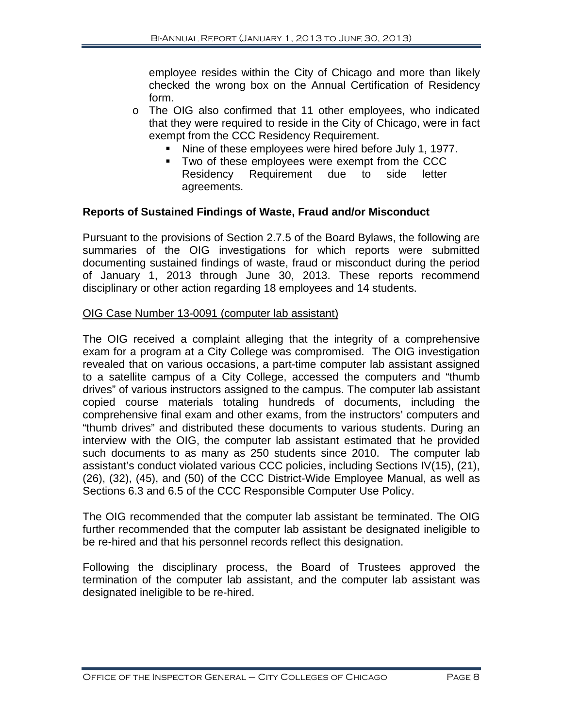employee resides within the City of Chicago and more than likely checked the wrong box on the Annual Certification of Residency form.

- o The OIG also confirmed that 11 other employees, who indicated that they were required to reside in the City of Chicago, were in fact exempt from the CCC Residency Requirement.
	- Nine of these employees were hired before July 1, 1977.
	- **Two of these employees were exempt from the CCC** Residency Requirement due to side letter agreements.

#### **Reports of Sustained Findings of Waste, Fraud and/or Misconduct**

Pursuant to the provisions of Section 2.7.5 of the Board Bylaws, the following are summaries of the OIG investigations for which reports were submitted documenting sustained findings of waste, fraud or misconduct during the period of January 1, 2013 through June 30, 2013. These reports recommend disciplinary or other action regarding 18 employees and 14 students.

#### OIG Case Number 13-0091 (computer lab assistant)

The OIG received a complaint alleging that the integrity of a comprehensive exam for a program at a City College was compromised. The OIG investigation revealed that on various occasions, a part-time computer lab assistant assigned to a satellite campus of a City College, accessed the computers and "thumb drives" of various instructors assigned to the campus. The computer lab assistant copied course materials totaling hundreds of documents, including the comprehensive final exam and other exams, from the instructors' computers and "thumb drives" and distributed these documents to various students. During an interview with the OIG, the computer lab assistant estimated that he provided such documents to as many as 250 students since 2010. The computer lab assistant's conduct violated various CCC policies, including Sections IV(15), (21), (26), (32), (45), and (50) of the CCC District-Wide Employee Manual, as well as Sections 6.3 and 6.5 of the CCC Responsible Computer Use Policy.

The OIG recommended that the computer lab assistant be terminated. The OIG further recommended that the computer lab assistant be designated ineligible to be re-hired and that his personnel records reflect this designation.

Following the disciplinary process, the Board of Trustees approved the termination of the computer lab assistant, and the computer lab assistant was designated ineligible to be re-hired.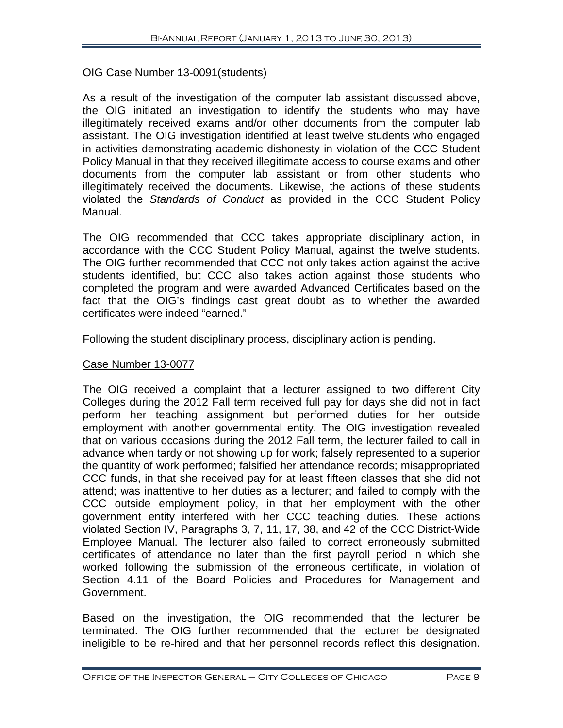#### OIG Case Number 13-0091(students)

As a result of the investigation of the computer lab assistant discussed above, the OIG initiated an investigation to identify the students who may have illegitimately received exams and/or other documents from the computer lab assistant. The OIG investigation identified at least twelve students who engaged in activities demonstrating academic dishonesty in violation of the CCC Student Policy Manual in that they received illegitimate access to course exams and other documents from the computer lab assistant or from other students who illegitimately received the documents. Likewise, the actions of these students violated the *Standards of Conduct* as provided in the CCC Student Policy Manual.

The OIG recommended that CCC takes appropriate disciplinary action, in accordance with the CCC Student Policy Manual, against the twelve students. The OIG further recommended that CCC not only takes action against the active students identified, but CCC also takes action against those students who completed the program and were awarded Advanced Certificates based on the fact that the OIG's findings cast great doubt as to whether the awarded certificates were indeed "earned."

Following the student disciplinary process, disciplinary action is pending.

#### Case Number 13-0077

The OIG received a complaint that a lecturer assigned to two different City Colleges during the 2012 Fall term received full pay for days she did not in fact perform her teaching assignment but performed duties for her outside employment with another governmental entity. The OIG investigation revealed that on various occasions during the 2012 Fall term, the lecturer failed to call in advance when tardy or not showing up for work; falsely represented to a superior the quantity of work performed; falsified her attendance records; misappropriated CCC funds, in that she received pay for at least fifteen classes that she did not attend; was inattentive to her duties as a lecturer; and failed to comply with the CCC outside employment policy, in that her employment with the other government entity interfered with her CCC teaching duties. These actions violated Section IV, Paragraphs 3, 7, 11, 17, 38, and 42 of the CCC District-Wide Employee Manual. The lecturer also failed to correct erroneously submitted certificates of attendance no later than the first payroll period in which she worked following the submission of the erroneous certificate, in violation of Section 4.11 of the Board Policies and Procedures for Management and Government.

Based on the investigation, the OIG recommended that the lecturer be terminated. The OIG further recommended that the lecturer be designated ineligible to be re-hired and that her personnel records reflect this designation.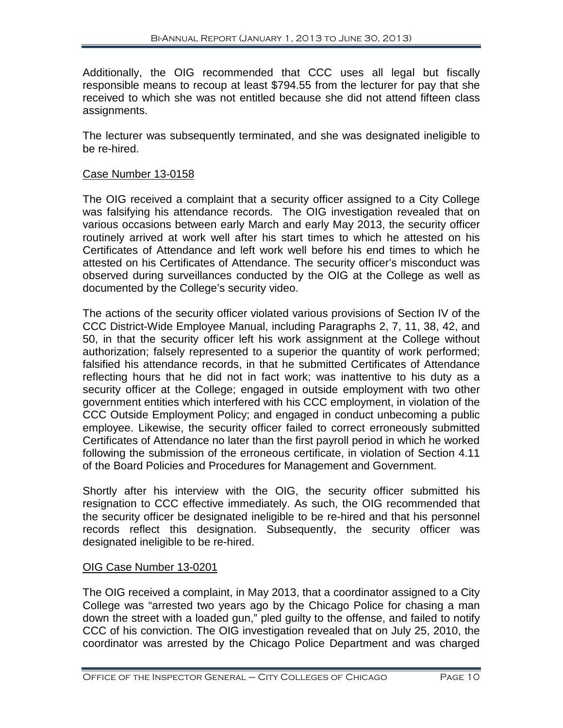Additionally, the OIG recommended that CCC uses all legal but fiscally responsible means to recoup at least \$794.55 from the lecturer for pay that she received to which she was not entitled because she did not attend fifteen class assignments.

The lecturer was subsequently terminated, and she was designated ineligible to be re-hired.

#### Case Number 13-0158

The OIG received a complaint that a security officer assigned to a City College was falsifying his attendance records. The OIG investigation revealed that on various occasions between early March and early May 2013, the security officer routinely arrived at work well after his start times to which he attested on his Certificates of Attendance and left work well before his end times to which he attested on his Certificates of Attendance. The security officer's misconduct was observed during surveillances conducted by the OIG at the College as well as documented by the College's security video.

The actions of the security officer violated various provisions of Section IV of the CCC District-Wide Employee Manual, including Paragraphs 2, 7, 11, 38, 42, and 50, in that the security officer left his work assignment at the College without authorization; falsely represented to a superior the quantity of work performed; falsified his attendance records, in that he submitted Certificates of Attendance reflecting hours that he did not in fact work; was inattentive to his duty as a security officer at the College; engaged in outside employment with two other government entities which interfered with his CCC employment, in violation of the CCC Outside Employment Policy; and engaged in conduct unbecoming a public employee. Likewise, the security officer failed to correct erroneously submitted Certificates of Attendance no later than the first payroll period in which he worked following the submission of the erroneous certificate, in violation of Section 4.11 of the Board Policies and Procedures for Management and Government.

Shortly after his interview with the OIG, the security officer submitted his resignation to CCC effective immediately. As such, the OIG recommended that the security officer be designated ineligible to be re-hired and that his personnel records reflect this designation. Subsequently, the security officer was designated ineligible to be re-hired.

#### OIG Case Number 13-0201

The OIG received a complaint, in May 2013, that a coordinator assigned to a City College was "arrested two years ago by the Chicago Police for chasing a man down the street with a loaded gun," pled guilty to the offense, and failed to notify CCC of his conviction. The OIG investigation revealed that on July 25, 2010, the coordinator was arrested by the Chicago Police Department and was charged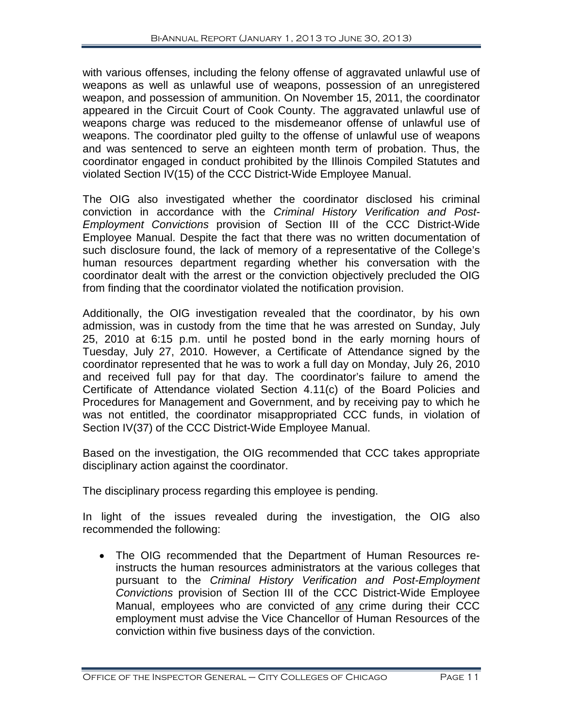with various offenses, including the felony offense of aggravated unlawful use of weapons as well as unlawful use of weapons, possession of an unregistered weapon, and possession of ammunition. On November 15, 2011, the coordinator appeared in the Circuit Court of Cook County. The aggravated unlawful use of weapons charge was reduced to the misdemeanor offense of unlawful use of weapons. The coordinator pled guilty to the offense of unlawful use of weapons and was sentenced to serve an eighteen month term of probation. Thus, the coordinator engaged in conduct prohibited by the Illinois Compiled Statutes and violated Section IV(15) of the CCC District-Wide Employee Manual.

The OIG also investigated whether the coordinator disclosed his criminal conviction in accordance with the *Criminal History Verification and Post-Employment Convictions* provision of Section III of the CCC District-Wide Employee Manual. Despite the fact that there was no written documentation of such disclosure found, the lack of memory of a representative of the College's human resources department regarding whether his conversation with the coordinator dealt with the arrest or the conviction objectively precluded the OIG from finding that the coordinator violated the notification provision.

Additionally, the OIG investigation revealed that the coordinator, by his own admission, was in custody from the time that he was arrested on Sunday, July 25, 2010 at 6:15 p.m. until he posted bond in the early morning hours of Tuesday, July 27, 2010. However, a Certificate of Attendance signed by the coordinator represented that he was to work a full day on Monday, July 26, 2010 and received full pay for that day. The coordinator's failure to amend the Certificate of Attendance violated Section 4.11(c) of the Board Policies and Procedures for Management and Government, and by receiving pay to which he was not entitled, the coordinator misappropriated CCC funds, in violation of Section IV(37) of the CCC District-Wide Employee Manual.

Based on the investigation, the OIG recommended that CCC takes appropriate disciplinary action against the coordinator.

The disciplinary process regarding this employee is pending.

In light of the issues revealed during the investigation, the OIG also recommended the following:

• The OIG recommended that the Department of Human Resources reinstructs the human resources administrators at the various colleges that pursuant to the *Criminal History Verification and Post-Employment Convictions* provision of Section III of the CCC District-Wide Employee Manual, employees who are convicted of any crime during their CCC employment must advise the Vice Chancellor of Human Resources of the conviction within five business days of the conviction.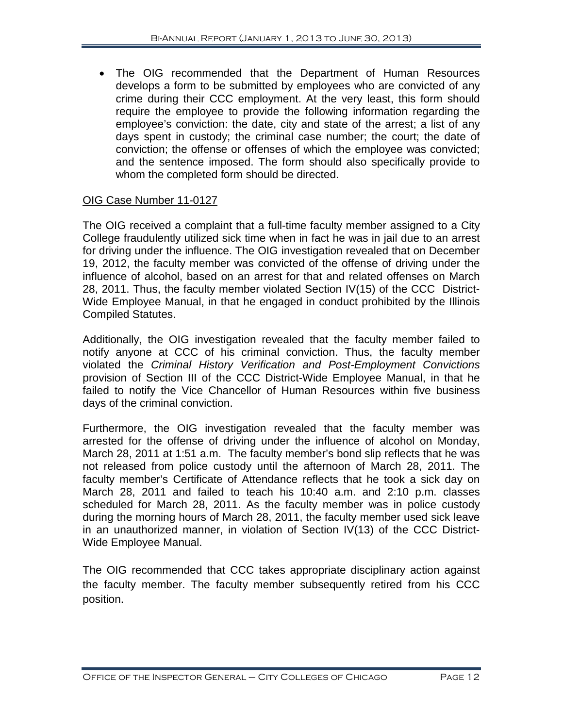• The OIG recommended that the Department of Human Resources develops a form to be submitted by employees who are convicted of any crime during their CCC employment. At the very least, this form should require the employee to provide the following information regarding the employee's conviction: the date, city and state of the arrest; a list of any days spent in custody; the criminal case number; the court; the date of conviction; the offense or offenses of which the employee was convicted; and the sentence imposed. The form should also specifically provide to whom the completed form should be directed.

#### OIG Case Number 11-0127

The OIG received a complaint that a full-time faculty member assigned to a City College fraudulently utilized sick time when in fact he was in jail due to an arrest for driving under the influence. The OIG investigation revealed that on December 19, 2012, the faculty member was convicted of the offense of driving under the influence of alcohol, based on an arrest for that and related offenses on March 28, 2011. Thus, the faculty member violated Section IV(15) of the CCC District-Wide Employee Manual, in that he engaged in conduct prohibited by the Illinois Compiled Statutes.

Additionally, the OIG investigation revealed that the faculty member failed to notify anyone at CCC of his criminal conviction. Thus, the faculty member violated the *Criminal History Verification and Post-Employment Convictions* provision of Section III of the CCC District-Wide Employee Manual, in that he failed to notify the Vice Chancellor of Human Resources within five business days of the criminal conviction.

Furthermore, the OIG investigation revealed that the faculty member was arrested for the offense of driving under the influence of alcohol on Monday, March 28, 2011 at 1:51 a.m. The faculty member's bond slip reflects that he was not released from police custody until the afternoon of March 28, 2011. The faculty member's Certificate of Attendance reflects that he took a sick day on March 28, 2011 and failed to teach his 10:40 a.m. and 2:10 p.m. classes scheduled for March 28, 2011. As the faculty member was in police custody during the morning hours of March 28, 2011, the faculty member used sick leave in an unauthorized manner, in violation of Section IV(13) of the CCC District-Wide Employee Manual.

The OIG recommended that CCC takes appropriate disciplinary action against the faculty member. The faculty member subsequently retired from his CCC position.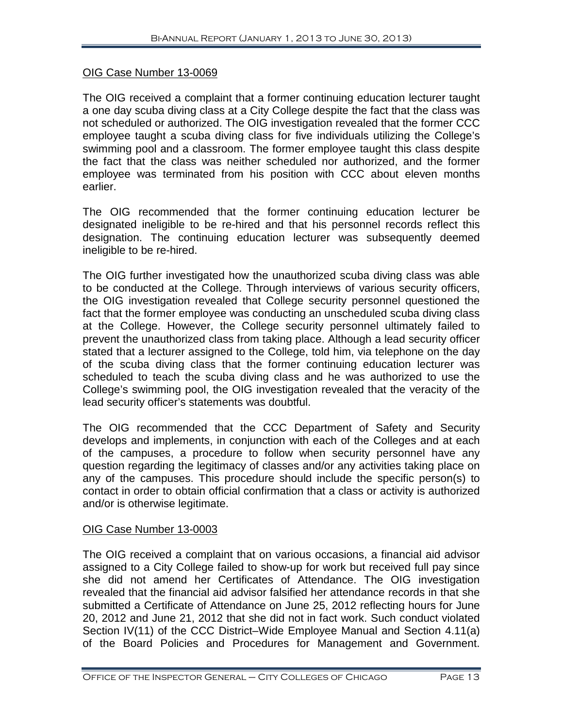#### OIG Case Number 13-0069

The OIG received a complaint that a former continuing education lecturer taught a one day scuba diving class at a City College despite the fact that the class was not scheduled or authorized. The OIG investigation revealed that the former CCC employee taught a scuba diving class for five individuals utilizing the College's swimming pool and a classroom. The former employee taught this class despite the fact that the class was neither scheduled nor authorized, and the former employee was terminated from his position with CCC about eleven months earlier.

The OIG recommended that the former continuing education lecturer be designated ineligible to be re-hired and that his personnel records reflect this designation. The continuing education lecturer was subsequently deemed ineligible to be re-hired.

The OIG further investigated how the unauthorized scuba diving class was able to be conducted at the College. Through interviews of various security officers, the OIG investigation revealed that College security personnel questioned the fact that the former employee was conducting an unscheduled scuba diving class at the College. However, the College security personnel ultimately failed to prevent the unauthorized class from taking place. Although a lead security officer stated that a lecturer assigned to the College, told him, via telephone on the day of the scuba diving class that the former continuing education lecturer was scheduled to teach the scuba diving class and he was authorized to use the College's swimming pool, the OIG investigation revealed that the veracity of the lead security officer's statements was doubtful.

The OIG recommended that the CCC Department of Safety and Security develops and implements, in conjunction with each of the Colleges and at each of the campuses, a procedure to follow when security personnel have any question regarding the legitimacy of classes and/or any activities taking place on any of the campuses. This procedure should include the specific person(s) to contact in order to obtain official confirmation that a class or activity is authorized and/or is otherwise legitimate.

#### OIG Case Number 13-0003

The OIG received a complaint that on various occasions, a financial aid advisor assigned to a City College failed to show-up for work but received full pay since she did not amend her Certificates of Attendance. The OIG investigation revealed that the financial aid advisor falsified her attendance records in that she submitted a Certificate of Attendance on June 25, 2012 reflecting hours for June 20, 2012 and June 21, 2012 that she did not in fact work. Such conduct violated Section IV(11) of the CCC District–Wide Employee Manual and Section 4.11(a) of the Board Policies and Procedures for Management and Government.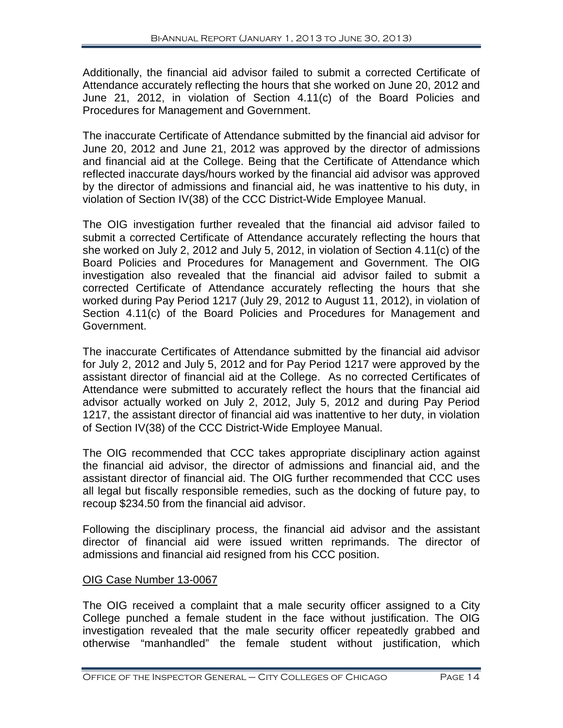Additionally, the financial aid advisor failed to submit a corrected Certificate of Attendance accurately reflecting the hours that she worked on June 20, 2012 and June 21, 2012, in violation of Section 4.11(c) of the Board Policies and Procedures for Management and Government.

The inaccurate Certificate of Attendance submitted by the financial aid advisor for June 20, 2012 and June 21, 2012 was approved by the director of admissions and financial aid at the College. Being that the Certificate of Attendance which reflected inaccurate days/hours worked by the financial aid advisor was approved by the director of admissions and financial aid, he was inattentive to his duty, in violation of Section IV(38) of the CCC District-Wide Employee Manual.

The OIG investigation further revealed that the financial aid advisor failed to submit a corrected Certificate of Attendance accurately reflecting the hours that she worked on July 2, 2012 and July 5, 2012, in violation of Section 4.11(c) of the Board Policies and Procedures for Management and Government. The OIG investigation also revealed that the financial aid advisor failed to submit a corrected Certificate of Attendance accurately reflecting the hours that she worked during Pay Period 1217 (July 29, 2012 to August 11, 2012), in violation of Section 4.11(c) of the Board Policies and Procedures for Management and Government.

The inaccurate Certificates of Attendance submitted by the financial aid advisor for July 2, 2012 and July 5, 2012 and for Pay Period 1217 were approved by the assistant director of financial aid at the College. As no corrected Certificates of Attendance were submitted to accurately reflect the hours that the financial aid advisor actually worked on July 2, 2012, July 5, 2012 and during Pay Period 1217, the assistant director of financial aid was inattentive to her duty, in violation of Section IV(38) of the CCC District-Wide Employee Manual.

The OIG recommended that CCC takes appropriate disciplinary action against the financial aid advisor, the director of admissions and financial aid, and the assistant director of financial aid. The OIG further recommended that CCC uses all legal but fiscally responsible remedies, such as the docking of future pay, to recoup \$234.50 from the financial aid advisor.

Following the disciplinary process, the financial aid advisor and the assistant director of financial aid were issued written reprimands. The director of admissions and financial aid resigned from his CCC position.

#### OIG Case Number 13-0067

The OIG received a complaint that a male security officer assigned to a City College punched a female student in the face without justification. The OIG investigation revealed that the male security officer repeatedly grabbed and otherwise "manhandled" the female student without justification, which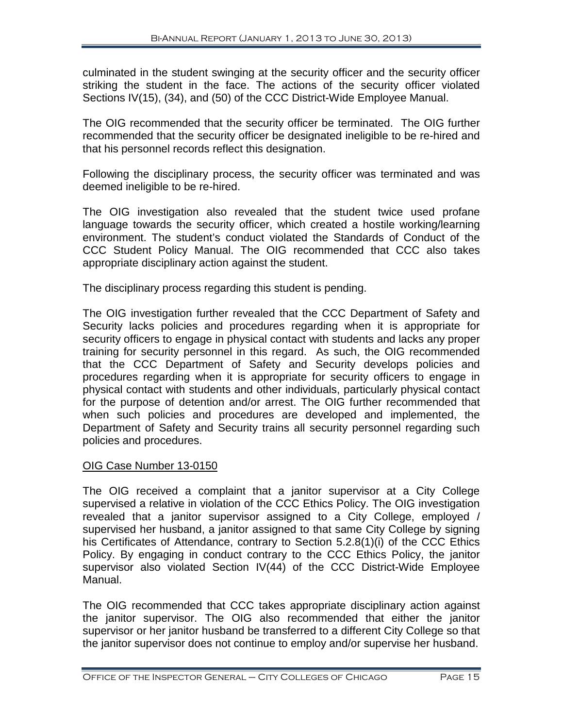culminated in the student swinging at the security officer and the security officer striking the student in the face. The actions of the security officer violated Sections IV(15), (34), and (50) of the CCC District-Wide Employee Manual.

The OIG recommended that the security officer be terminated. The OIG further recommended that the security officer be designated ineligible to be re-hired and that his personnel records reflect this designation.

Following the disciplinary process, the security officer was terminated and was deemed ineligible to be re-hired.

The OIG investigation also revealed that the student twice used profane language towards the security officer, which created a hostile working/learning environment. The student's conduct violated the Standards of Conduct of the CCC Student Policy Manual. The OIG recommended that CCC also takes appropriate disciplinary action against the student.

The disciplinary process regarding this student is pending.

The OIG investigation further revealed that the CCC Department of Safety and Security lacks policies and procedures regarding when it is appropriate for security officers to engage in physical contact with students and lacks any proper training for security personnel in this regard. As such, the OIG recommended that the CCC Department of Safety and Security develops policies and procedures regarding when it is appropriate for security officers to engage in physical contact with students and other individuals, particularly physical contact for the purpose of detention and/or arrest. The OIG further recommended that when such policies and procedures are developed and implemented, the Department of Safety and Security trains all security personnel regarding such policies and procedures.

#### OIG Case Number 13-0150

The OIG received a complaint that a janitor supervisor at a City College supervised a relative in violation of the CCC Ethics Policy. The OIG investigation revealed that a janitor supervisor assigned to a City College, employed / supervised her husband, a janitor assigned to that same City College by signing his Certificates of Attendance, contrary to Section 5.2.8(1)(i) of the CCC Ethics Policy. By engaging in conduct contrary to the CCC Ethics Policy, the janitor supervisor also violated Section IV(44) of the CCC District-Wide Employee Manual.

The OIG recommended that CCC takes appropriate disciplinary action against the janitor supervisor. The OIG also recommended that either the janitor supervisor or her janitor husband be transferred to a different City College so that the janitor supervisor does not continue to employ and/or supervise her husband.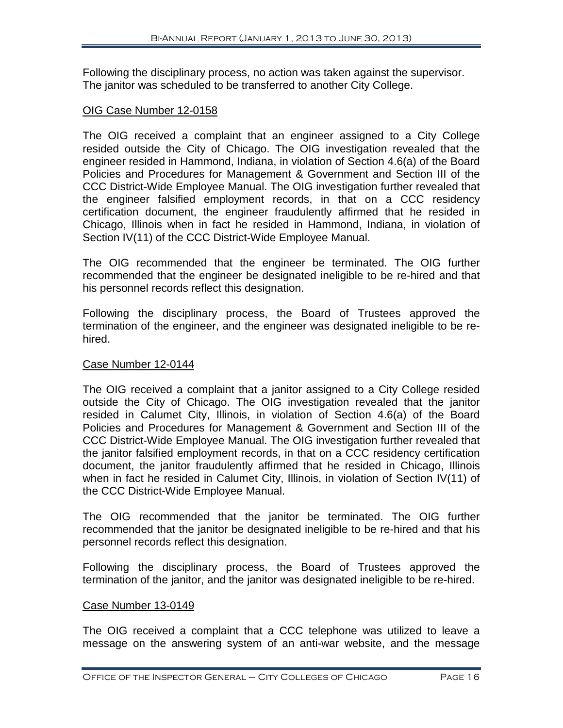Following the disciplinary process, no action was taken against the supervisor. The janitor was scheduled to be transferred to another City College.

#### OIG Case Number 12-0158

The OIG received a complaint that an engineer assigned to a City College resided outside the City of Chicago. The OIG investigation revealed that the engineer resided in Hammond, Indiana, in violation of Section 4.6(a) of the Board Policies and Procedures for Management & Government and Section III of the CCC District-Wide Employee Manual. The OIG investigation further revealed that the engineer falsified employment records, in that on a CCC residency certification document, the engineer fraudulently affirmed that he resided in Chicago, Illinois when in fact he resided in Hammond, Indiana, in violation of Section IV(11) of the CCC District-Wide Employee Manual.

The OIG recommended that the engineer be terminated. The OIG further recommended that the engineer be designated ineligible to be re-hired and that his personnel records reflect this designation.

Following the disciplinary process, the Board of Trustees approved the termination of the engineer, and the engineer was designated ineligible to be rehired.

#### Case Number 12-0144

The OIG received a complaint that a janitor assigned to a City College resided outside the City of Chicago. The OIG investigation revealed that the janitor resided in Calumet City, Illinois, in violation of Section 4.6(a) of the Board Policies and Procedures for Management & Government and Section III of the CCC District-Wide Employee Manual. The OIG investigation further revealed that the janitor falsified employment records, in that on a CCC residency certification document, the janitor fraudulently affirmed that he resided in Chicago, Illinois when in fact he resided in Calumet City, Illinois, in violation of Section IV(11) of the CCC District-Wide Employee Manual.

The OIG recommended that the janitor be terminated. The OIG further recommended that the janitor be designated ineligible to be re-hired and that his personnel records reflect this designation.

Following the disciplinary process, the Board of Trustees approved the termination of the janitor, and the janitor was designated ineligible to be re-hired.

#### Case Number 13-0149

The OIG received a complaint that a CCC telephone was utilized to leave a message on the answering system of an anti-war website, and the message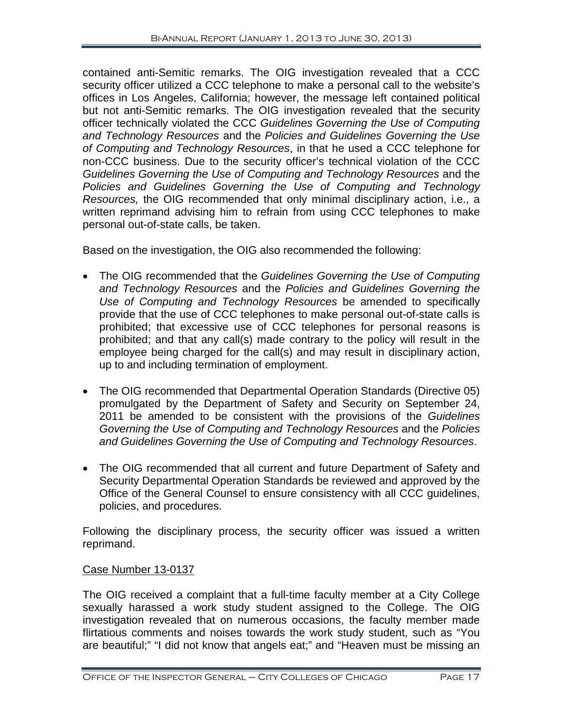contained anti-Semitic remarks. The OIG investigation revealed that a CCC security officer utilized a CCC telephone to make a personal call to the website's offices in Los Angeles, California; however, the message left contained political but not anti-Semitic remarks. The OIG investigation revealed that the security officer technically violated the CCC *Guidelines Governing the Use of Computing and Technology Resources* and the *Policies and Guidelines Governing the Use of Computing and Technology Resources*, in that he used a CCC telephone for non-CCC business. Due to the security officer's technical violation of the CCC *Guidelines Governing the Use of Computing and Technology Resources* and the *Policies and Guidelines Governing the Use of Computing and Technology Resources,* the OIG recommended that only minimal disciplinary action, i.e., a written reprimand advising him to refrain from using CCC telephones to make personal out-of-state calls, be taken.

Based on the investigation, the OIG also recommended the following:

- The OIG recommended that the *Guidelines Governing the Use of Computing and Technology Resources* and the *Policies and Guidelines Governing the Use of Computing and Technology Resources* be amended to specifically provide that the use of CCC telephones to make personal out-of-state calls is prohibited; that excessive use of CCC telephones for personal reasons is prohibited; and that any call(s) made contrary to the policy will result in the employee being charged for the call(s) and may result in disciplinary action, up to and including termination of employment.
- The OIG recommended that Departmental Operation Standards (Directive 05) promulgated by the Department of Safety and Security on September 24, 2011 be amended to be consistent with the provisions of the *Guidelines Governing the Use of Computing and Technology Resources* and the *Policies and Guidelines Governing the Use of Computing and Technology Resources*.
- The OIG recommended that all current and future Department of Safety and Security Departmental Operation Standards be reviewed and approved by the Office of the General Counsel to ensure consistency with all CCC guidelines, policies, and procedures.

Following the disciplinary process, the security officer was issued a written reprimand.

#### Case Number 13-0137

The OIG received a complaint that a full-time faculty member at a City College sexually harassed a work study student assigned to the College. The OIG investigation revealed that on numerous occasions, the faculty member made flirtatious comments and noises towards the work study student, such as "You are beautiful;" "I did not know that angels eat;" and "Heaven must be missing an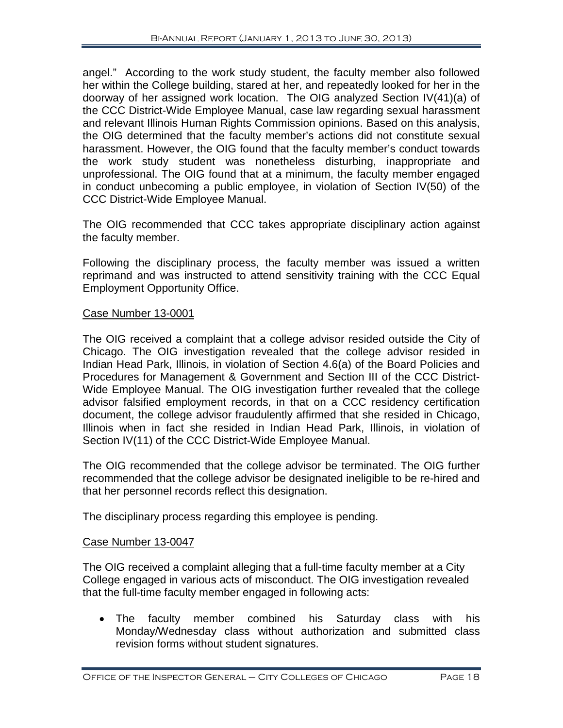angel." According to the work study student, the faculty member also followed her within the College building, stared at her, and repeatedly looked for her in the doorway of her assigned work location. The OIG analyzed Section IV(41)(a) of the CCC District-Wide Employee Manual, case law regarding sexual harassment and relevant Illinois Human Rights Commission opinions. Based on this analysis, the OIG determined that the faculty member's actions did not constitute sexual harassment. However, the OIG found that the faculty member's conduct towards the work study student was nonetheless disturbing, inappropriate and unprofessional. The OIG found that at a minimum, the faculty member engaged in conduct unbecoming a public employee, in violation of Section IV(50) of the CCC District-Wide Employee Manual.

The OIG recommended that CCC takes appropriate disciplinary action against the faculty member.

Following the disciplinary process, the faculty member was issued a written reprimand and was instructed to attend sensitivity training with the CCC Equal Employment Opportunity Office.

#### Case Number 13-0001

The OIG received a complaint that a college advisor resided outside the City of Chicago. The OIG investigation revealed that the college advisor resided in Indian Head Park, Illinois, in violation of Section 4.6(a) of the Board Policies and Procedures for Management & Government and Section III of the CCC District-Wide Employee Manual. The OIG investigation further revealed that the college advisor falsified employment records, in that on a CCC residency certification document, the college advisor fraudulently affirmed that she resided in Chicago, Illinois when in fact she resided in Indian Head Park, Illinois, in violation of Section IV(11) of the CCC District-Wide Employee Manual.

The OIG recommended that the college advisor be terminated. The OIG further recommended that the college advisor be designated ineligible to be re-hired and that her personnel records reflect this designation.

The disciplinary process regarding this employee is pending.

#### Case Number 13-0047

The OIG received a complaint alleging that a full-time faculty member at a City College engaged in various acts of misconduct. The OIG investigation revealed that the full-time faculty member engaged in following acts:

• The faculty member combined his Saturday class with his Monday/Wednesday class without authorization and submitted class revision forms without student signatures.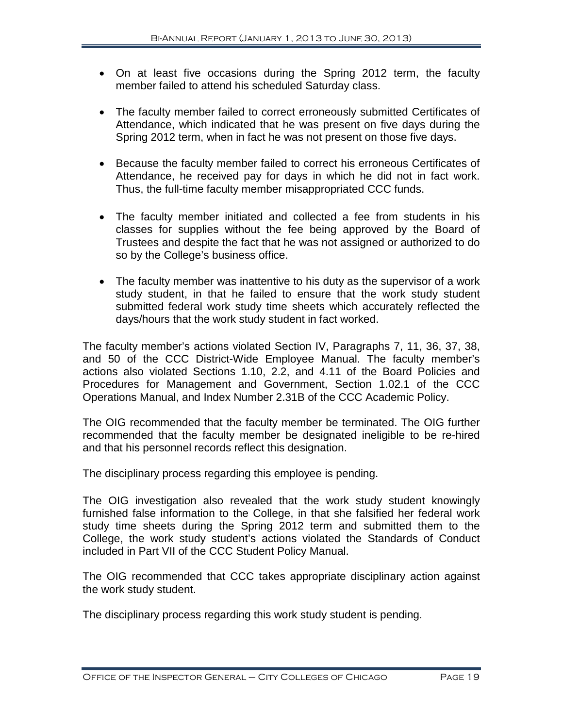- On at least five occasions during the Spring 2012 term, the faculty member failed to attend his scheduled Saturday class.
- The faculty member failed to correct erroneously submitted Certificates of Attendance, which indicated that he was present on five days during the Spring 2012 term, when in fact he was not present on those five days.
- Because the faculty member failed to correct his erroneous Certificates of Attendance, he received pay for days in which he did not in fact work. Thus, the full-time faculty member misappropriated CCC funds.
- The faculty member initiated and collected a fee from students in his classes for supplies without the fee being approved by the Board of Trustees and despite the fact that he was not assigned or authorized to do so by the College's business office.
- The faculty member was inattentive to his duty as the supervisor of a work study student, in that he failed to ensure that the work study student submitted federal work study time sheets which accurately reflected the days/hours that the work study student in fact worked.

The faculty member's actions violated Section IV, Paragraphs 7, 11, 36, 37, 38, and 50 of the CCC District-Wide Employee Manual. The faculty member's actions also violated Sections 1.10, 2.2, and 4.11 of the Board Policies and Procedures for Management and Government, Section 1.02.1 of the CCC Operations Manual, and Index Number 2.31B of the CCC Academic Policy.

The OIG recommended that the faculty member be terminated. The OIG further recommended that the faculty member be designated ineligible to be re-hired and that his personnel records reflect this designation.

The disciplinary process regarding this employee is pending.

The OIG investigation also revealed that the work study student knowingly furnished false information to the College, in that she falsified her federal work study time sheets during the Spring 2012 term and submitted them to the College, the work study student's actions violated the Standards of Conduct included in Part VII of the CCC Student Policy Manual.

The OIG recommended that CCC takes appropriate disciplinary action against the work study student.

The disciplinary process regarding this work study student is pending.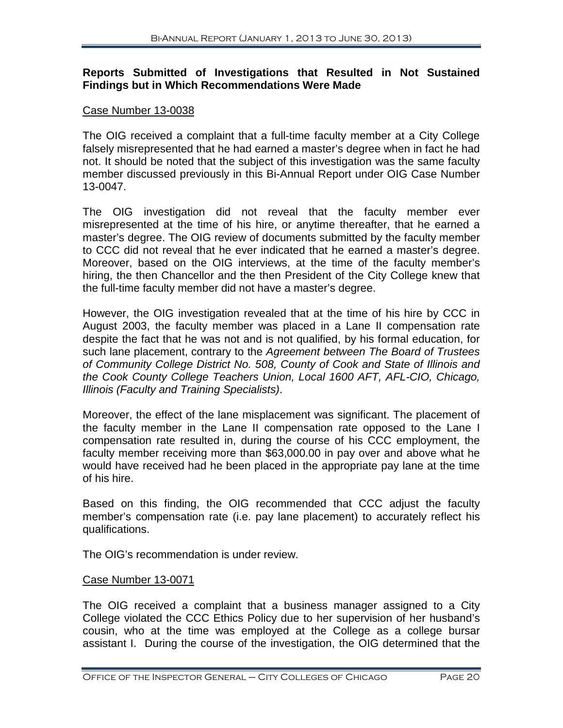#### **Reports Submitted of Investigations that Resulted in Not Sustained Findings but in Which Recommendations Were Made**

#### Case Number 13-0038

The OIG received a complaint that a full-time faculty member at a City College falsely misrepresented that he had earned a master's degree when in fact he had not. It should be noted that the subject of this investigation was the same faculty member discussed previously in this Bi-Annual Report under OIG Case Number 13-0047.

The OIG investigation did not reveal that the faculty member ever misrepresented at the time of his hire, or anytime thereafter, that he earned a master's degree. The OIG review of documents submitted by the faculty member to CCC did not reveal that he ever indicated that he earned a master's degree. Moreover, based on the OIG interviews, at the time of the faculty member's hiring, the then Chancellor and the then President of the City College knew that the full-time faculty member did not have a master's degree.

However, the OIG investigation revealed that at the time of his hire by CCC in August 2003, the faculty member was placed in a Lane II compensation rate despite the fact that he was not and is not qualified, by his formal education, for such lane placement, contrary to the *Agreement between The Board of Trustees of Community College District No. 508, County of Cook and State of Illinois and the Cook County College Teachers Union, Local 1600 AFT, AFL-CIO, Chicago, Illinois (Faculty and Training Specialists)*.

Moreover, the effect of the lane misplacement was significant. The placement of the faculty member in the Lane II compensation rate opposed to the Lane I compensation rate resulted in, during the course of his CCC employment, the faculty member receiving more than \$63,000.00 in pay over and above what he would have received had he been placed in the appropriate pay lane at the time of his hire.

Based on this finding, the OIG recommended that CCC adjust the faculty member's compensation rate (i.e. pay lane placement) to accurately reflect his qualifications.

The OIG's recommendation is under review.

#### Case Number 13-0071

The OIG received a complaint that a business manager assigned to a City College violated the CCC Ethics Policy due to her supervision of her husband's cousin, who at the time was employed at the College as a college bursar assistant I. During the course of the investigation, the OIG determined that the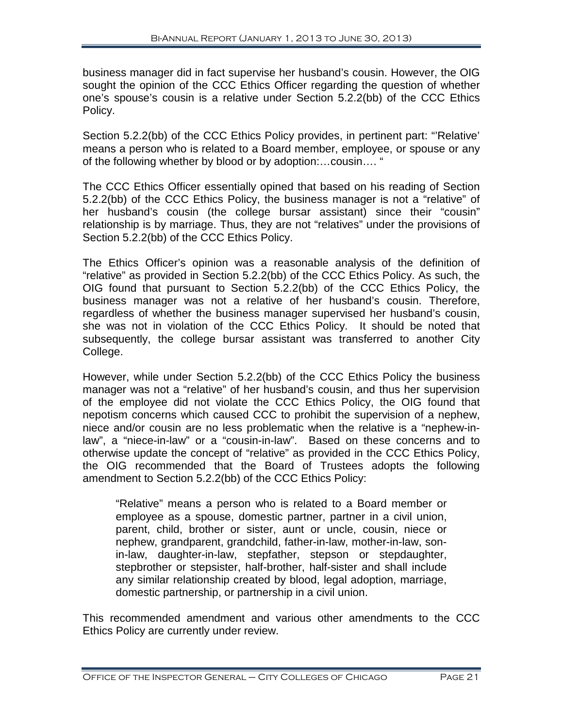business manager did in fact supervise her husband's cousin. However, the OIG sought the opinion of the CCC Ethics Officer regarding the question of whether one's spouse's cousin is a relative under Section 5.2.2(bb) of the CCC Ethics Policy.

Section 5.2.2(bb) of the CCC Ethics Policy provides, in pertinent part: "'Relative' means a person who is related to a Board member, employee, or spouse or any of the following whether by blood or by adoption:…cousin…. "

The CCC Ethics Officer essentially opined that based on his reading of Section 5.2.2(bb) of the CCC Ethics Policy, the business manager is not a "relative" of her husband's cousin (the college bursar assistant) since their "cousin" relationship is by marriage. Thus, they are not "relatives" under the provisions of Section 5.2.2(bb) of the CCC Ethics Policy.

The Ethics Officer's opinion was a reasonable analysis of the definition of "relative" as provided in Section 5.2.2(bb) of the CCC Ethics Policy. As such, the OIG found that pursuant to Section 5.2.2(bb) of the CCC Ethics Policy, the business manager was not a relative of her husband's cousin. Therefore, regardless of whether the business manager supervised her husband's cousin, she was not in violation of the CCC Ethics Policy. It should be noted that subsequently, the college bursar assistant was transferred to another City College.

However, while under Section 5.2.2(bb) of the CCC Ethics Policy the business manager was not a "relative" of her husband's cousin, and thus her supervision of the employee did not violate the CCC Ethics Policy, the OIG found that nepotism concerns which caused CCC to prohibit the supervision of a nephew, niece and/or cousin are no less problematic when the relative is a "nephew-inlaw", a "niece-in-law" or a "cousin-in-law". Based on these concerns and to otherwise update the concept of "relative" as provided in the CCC Ethics Policy, the OIG recommended that the Board of Trustees adopts the following amendment to Section 5.2.2(bb) of the CCC Ethics Policy:

"Relative" means a person who is related to a Board member or employee as a spouse, domestic partner, partner in a civil union, parent, child, brother or sister, aunt or uncle, cousin, niece or nephew, grandparent, grandchild, father-in-law, mother-in-law, sonin-law, daughter-in-law, stepfather, stepson or stepdaughter, stepbrother or stepsister, half-brother, half-sister and shall include any similar relationship created by blood, legal adoption, marriage, domestic partnership, or partnership in a civil union.

This recommended amendment and various other amendments to the CCC Ethics Policy are currently under review.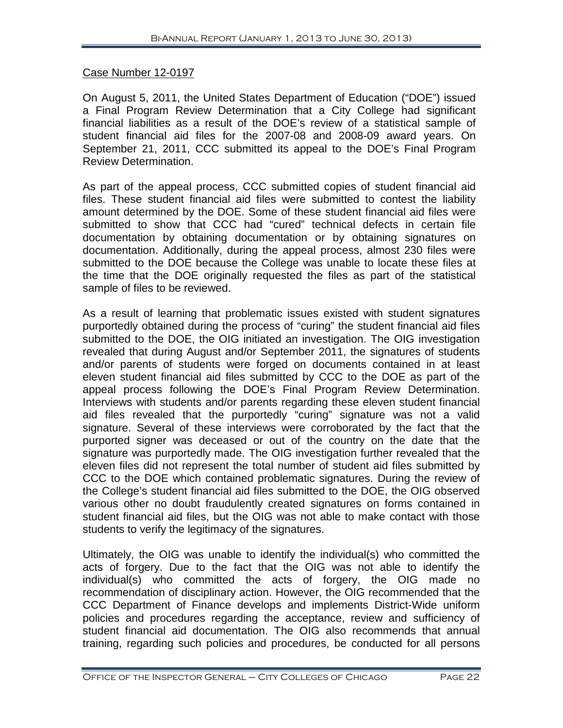#### Case Number 12-0197

On August 5, 2011, the United States Department of Education ("DOE") issued a Final Program Review Determination that a City College had significant financial liabilities as a result of the DOE's review of a statistical sample of student financial aid files for the 2007-08 and 2008-09 award years. On September 21, 2011, CCC submitted its appeal to the DOE's Final Program Review Determination.

As part of the appeal process, CCC submitted copies of student financial aid files. These student financial aid files were submitted to contest the liability amount determined by the DOE. Some of these student financial aid files were submitted to show that CCC had "cured" technical defects in certain file documentation by obtaining documentation or by obtaining signatures on documentation. Additionally, during the appeal process, almost 230 files were submitted to the DOE because the College was unable to locate these files at the time that the DOE originally requested the files as part of the statistical sample of files to be reviewed.

As a result of learning that problematic issues existed with student signatures purportedly obtained during the process of "curing" the student financial aid files submitted to the DOE, the OIG initiated an investigation. The OIG investigation revealed that during August and/or September 2011, the signatures of students and/or parents of students were forged on documents contained in at least eleven student financial aid files submitted by CCC to the DOE as part of the appeal process following the DOE's Final Program Review Determination. Interviews with students and/or parents regarding these eleven student financial aid files revealed that the purportedly "curing" signature was not a valid signature. Several of these interviews were corroborated by the fact that the purported signer was deceased or out of the country on the date that the signature was purportedly made. The OIG investigation further revealed that the eleven files did not represent the total number of student aid files submitted by CCC to the DOE which contained problematic signatures. During the review of the College's student financial aid files submitted to the DOE, the OIG observed various other no doubt fraudulently created signatures on forms contained in student financial aid files, but the OIG was not able to make contact with those students to verify the legitimacy of the signatures.

Ultimately, the OIG was unable to identify the individual(s) who committed the acts of forgery. Due to the fact that the OIG was not able to identify the individual(s) who committed the acts of forgery, the OIG made no recommendation of disciplinary action. However, the OIG recommended that the CCC Department of Finance develops and implements District-Wide uniform policies and procedures regarding the acceptance, review and sufficiency of student financial aid documentation. The OIG also recommends that annual training, regarding such policies and procedures, be conducted for all persons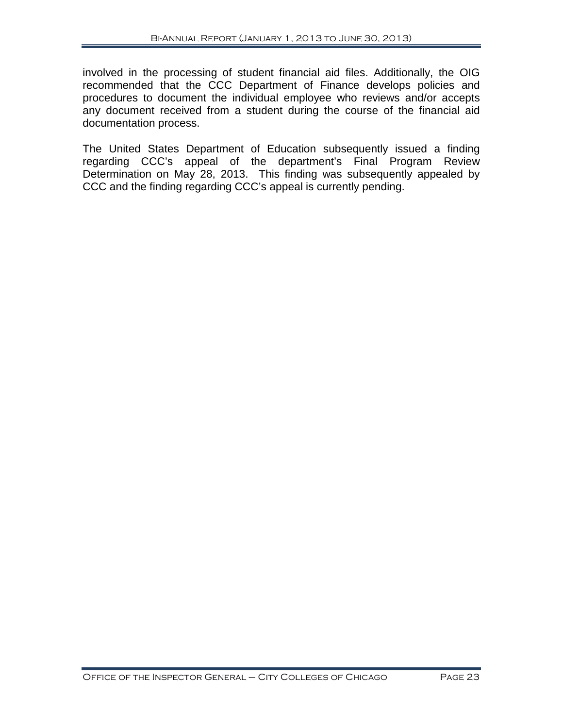involved in the processing of student financial aid files. Additionally, the OIG recommended that the CCC Department of Finance develops policies and procedures to document the individual employee who reviews and/or accepts any document received from a student during the course of the financial aid documentation process.

The United States Department of Education subsequently issued a finding regarding CCC's appeal of the department's Final Program Review Determination on May 28, 2013. This finding was subsequently appealed by CCC and the finding regarding CCC's appeal is currently pending.